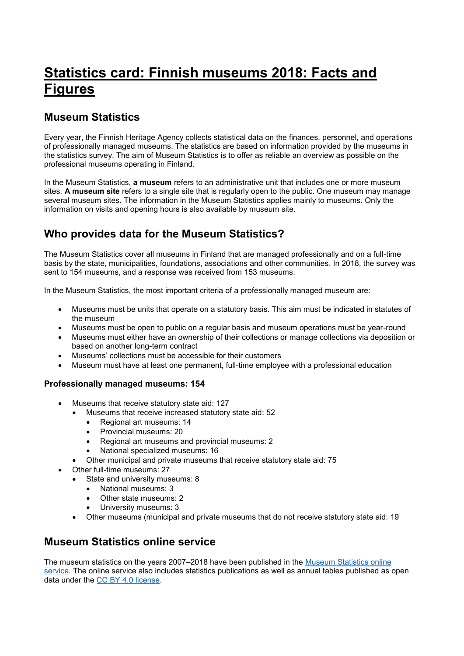# **Statistics card: Finnish museums 2018: Facts and Figures**

### **Museum Statistics**

Every year, the Finnish Heritage Agency collects statistical data on the finances, personnel, and operations of professionally managed museums. The statistics are based on information provided by the museums in the statistics survey. The aim of Museum Statistics is to offer as reliable an overview as possible on the professional museums operating in Finland.

In the Museum Statistics, **a museum** refers to an administrative unit that includes one or more museum sites. **A museum site** refers to a single site that is regularly open to the public. One museum may manage several museum sites. The information in the Museum Statistics applies mainly to museums. Only the information on visits and opening hours is also available by museum site.

## **Who provides data for the Museum Statistics?**

The Museum Statistics cover all museums in Finland that are managed professionally and on a full-time basis by the state, municipalities, foundations, associations and other communities. In 2018, the survey was sent to 154 museums, and a response was received from 153 museums.

In the Museum Statistics, the most important criteria of a professionally managed museum are:

- Museums must be units that operate on a statutory basis. This aim must be indicated in statutes of the museum
- Museums must be open to public on a regular basis and museum operations must be year-round
- Museums must either have an ownership of their collections or manage collections via deposition or based on another long-term contract
- Museums' collections must be accessible for their customers
- Museum must have at least one permanent, full-time employee with a professional education

#### **Professionally managed museums: 154**

- Museums that receive statutory state aid: 127
	- Museums that receive increased statutory state aid: 52
		- Regional art museums: 14
		- Provincial museums: 20
		- Regional art museums and provincial museums: 2
		- National specialized museums: 16
		- Other municipal and private museums that receive statutory state aid: 75
- Other full-time museums: 27
	- State and university museums: 8
		- National museums: 3
			- Other state museums: 2
			- University museums: 3
	- Other museums (municipal and private museums that do not receive statutory state aid: 19

### **Museum Statistics online service**

The museum statistics on the years 2007–2018 have been published in the [Museum Statistics online](http://www.museotilasto.fi/)  [service.](http://www.museotilasto.fi/) The online service also includes statistics publications as well as annual tables published as open data under the [CC BY 4.0 license.](https://creativecommons.org/licenses/by/4.0/)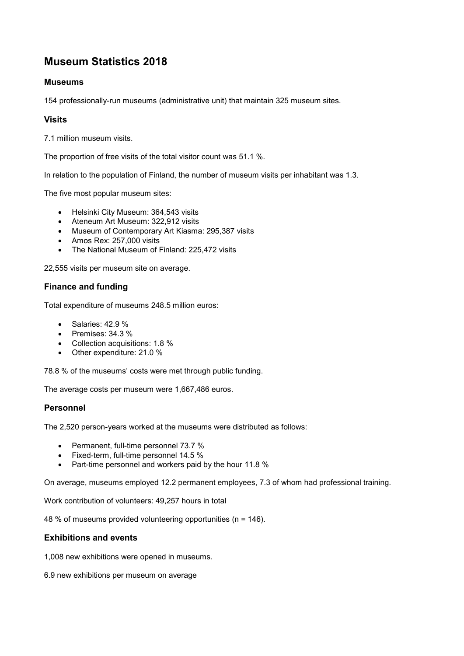# **Museum Statistics 2018**

#### **Museums**

154 professionally-run museums (administrative unit) that maintain 325 museum sites.

#### **Visits**

7.1 million museum visits.

The proportion of free visits of the total visitor count was 51.1 %.

In relation to the population of Finland, the number of museum visits per inhabitant was 1.3.

The five most popular museum sites:

- Helsinki City Museum: 364,543 visits
- Ateneum Art Museum: 322,912 visits
- Museum of Contemporary Art Kiasma: 295,387 visits
- Amos Rex: 257,000 visits
- The National Museum of Finland: 225,472 visits

22,555 visits per museum site on average.

#### **Finance and funding**

Total expenditure of museums 248.5 million euros:

- $\bullet$  Salaries: 42.9 %
- $\bullet$  Premises: 34.3 %
- Collection acquisitions: 1.8 %
- Other expenditure: 21.0 %

78.8 % of the museums' costs were met through public funding.

The average costs per museum were 1,667,486 euros.

#### **Personnel**

The 2,520 person-years worked at the museums were distributed as follows:

- Permanent, full-time personnel 73.7 %
- Fixed-term, full-time personnel 14.5 %
- Part-time personnel and workers paid by the hour 11.8 %

On average, museums employed 12.2 permanent employees, 7.3 of whom had professional training.

Work contribution of volunteers: 49,257 hours in total

48 % of museums provided volunteering opportunities (n = 146).

#### **Exhibitions and events**

1,008 new exhibitions were opened in museums.

6.9 new exhibitions per museum on average